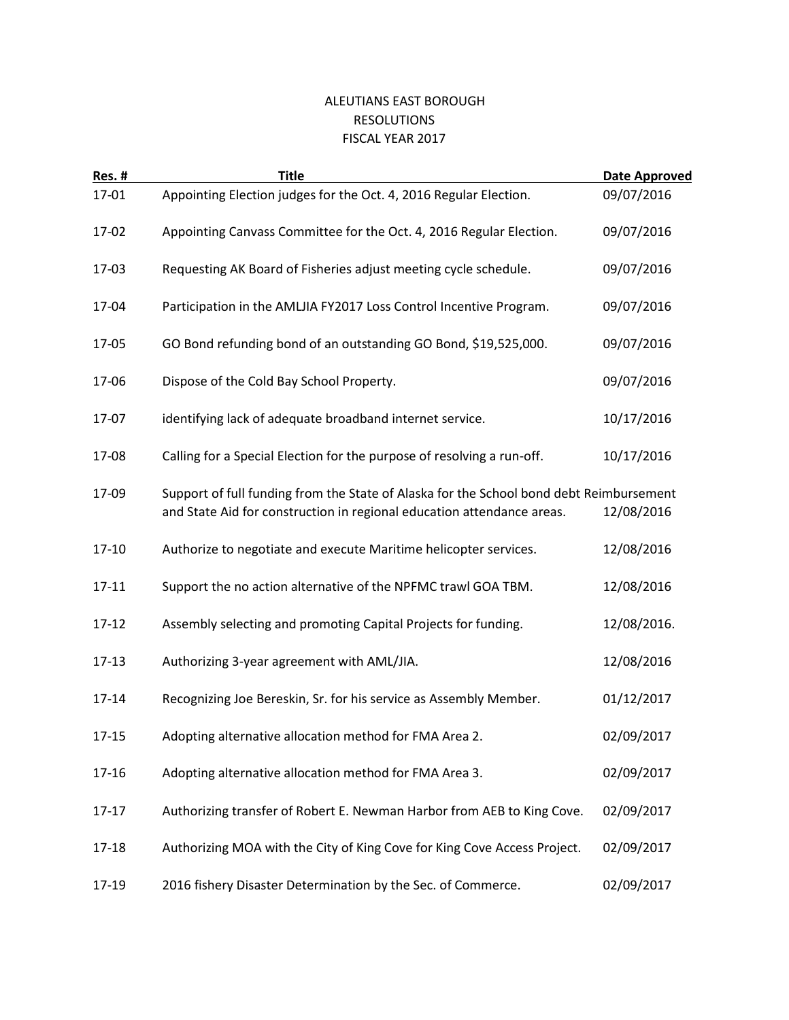## ALEUTIANS EAST BOROUGH RESOLUTIONS FISCAL YEAR 2017

| <b>Res. #</b> | <b>Title</b>                                                                                                                                                      | Date Approved |
|---------------|-------------------------------------------------------------------------------------------------------------------------------------------------------------------|---------------|
| 17-01         | Appointing Election judges for the Oct. 4, 2016 Regular Election.                                                                                                 | 09/07/2016    |
| 17-02         | Appointing Canvass Committee for the Oct. 4, 2016 Regular Election.                                                                                               | 09/07/2016    |
| 17-03         | Requesting AK Board of Fisheries adjust meeting cycle schedule.                                                                                                   | 09/07/2016    |
| 17-04         | Participation in the AMLJIA FY2017 Loss Control Incentive Program.                                                                                                | 09/07/2016    |
| 17-05         | GO Bond refunding bond of an outstanding GO Bond, \$19,525,000.                                                                                                   | 09/07/2016    |
| 17-06         | Dispose of the Cold Bay School Property.                                                                                                                          | 09/07/2016    |
| 17-07         | identifying lack of adequate broadband internet service.                                                                                                          | 10/17/2016    |
| 17-08         | Calling for a Special Election for the purpose of resolving a run-off.                                                                                            | 10/17/2016    |
| 17-09         | Support of full funding from the State of Alaska for the School bond debt Reimbursement<br>and State Aid for construction in regional education attendance areas. | 12/08/2016    |
| 17-10         | Authorize to negotiate and execute Maritime helicopter services.                                                                                                  | 12/08/2016    |
| $17 - 11$     | Support the no action alternative of the NPFMC trawl GOA TBM.                                                                                                     | 12/08/2016    |
| $17 - 12$     | Assembly selecting and promoting Capital Projects for funding.                                                                                                    | 12/08/2016.   |
| $17 - 13$     | Authorizing 3-year agreement with AML/JIA.                                                                                                                        | 12/08/2016    |
| 17-14         | Recognizing Joe Bereskin, Sr. for his service as Assembly Member.                                                                                                 | 01/12/2017    |
| $17 - 15$     | Adopting alternative allocation method for FMA Area 2.                                                                                                            | 02/09/2017    |
| 17-16         | Adopting alternative allocation method for FMA Area 3.                                                                                                            | 02/09/2017    |
| $17 - 17$     | Authorizing transfer of Robert E. Newman Harbor from AEB to King Cove.                                                                                            | 02/09/2017    |
| 17-18         | Authorizing MOA with the City of King Cove for King Cove Access Project.                                                                                          | 02/09/2017    |
| 17-19         | 2016 fishery Disaster Determination by the Sec. of Commerce.                                                                                                      | 02/09/2017    |